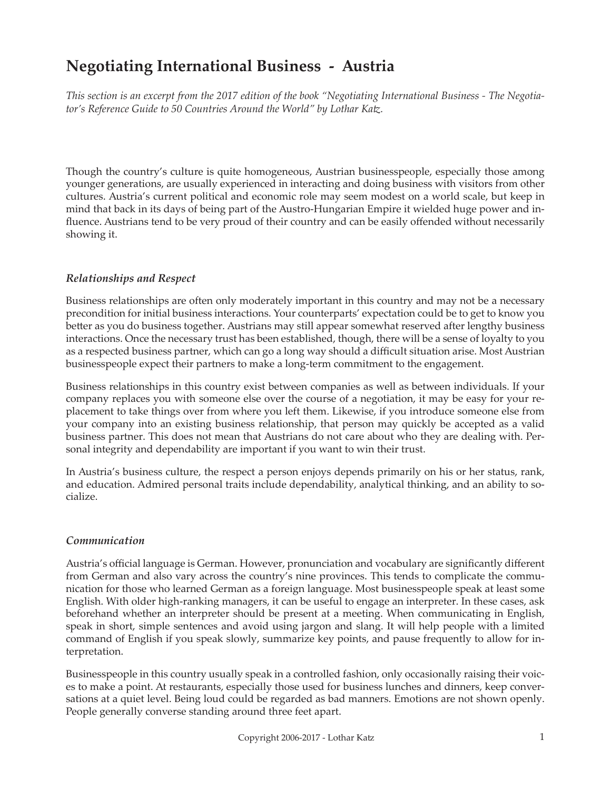# **Negotiating International Business - Austria**

*This section is an excerpt from the 2017 edition of the book "Negotiating International Business - The Negotiator's Reference Guide to 50 Countries Around the World" by Lothar Katz.*

Though the country's culture is quite homogeneous, Austrian businesspeople, especially those among younger generations, are usually experienced in interacting and doing business with visitors from other cultures. Austria's current political and economic role may seem modest on a world scale, but keep in mind that back in its days of being part of the Austro-Hungarian Empire it wielded huge power and influence. Austrians tend to be very proud of their country and can be easily offended without necessarily showing it.

## *Relationships and Respect*

Business relationships are often only moderately important in this country and may not be a necessary precondition for initial business interactions. Your counterparts' expectation could be to get to know you better as you do business together. Austrians may still appear somewhat reserved after lengthy business interactions. Once the necessary trust has been established, though, there will be a sense of loyalty to you as a respected business partner, which can go a long way should a difficult situation arise. Most Austrian businesspeople expect their partners to make a long-term commitment to the engagement.

Business relationships in this country exist between companies as well as between individuals. If your company replaces you with someone else over the course of a negotiation, it may be easy for your replacement to take things over from where you left them. Likewise, if you introduce someone else from your company into an existing business relationship, that person may quickly be accepted as a valid business partner. This does not mean that Austrians do not care about who they are dealing with. Personal integrity and dependability are important if you want to win their trust.

In Austria's business culture, the respect a person enjoys depends primarily on his or her status, rank, and education. Admired personal traits include dependability, analytical thinking, and an ability to socialize.

## *Communication*

Austria's official language is German. However, pronunciation and vocabulary are significantly different from German and also vary across the country's nine provinces. This tends to complicate the communication for those who learned German as a foreign language. Most businesspeople speak at least some English. With older high-ranking managers, it can be useful to engage an interpreter. In these cases, ask beforehand whether an interpreter should be present at a meeting. When communicating in English, speak in short, simple sentences and avoid using jargon and slang. It will help people with a limited command of English if you speak slowly, summarize key points, and pause frequently to allow for interpretation.

Businesspeople in this country usually speak in a controlled fashion, only occasionally raising their voices to make a point. At restaurants, especially those used for business lunches and dinners, keep conversations at a quiet level. Being loud could be regarded as bad manners. Emotions are not shown openly. People generally converse standing around three feet apart.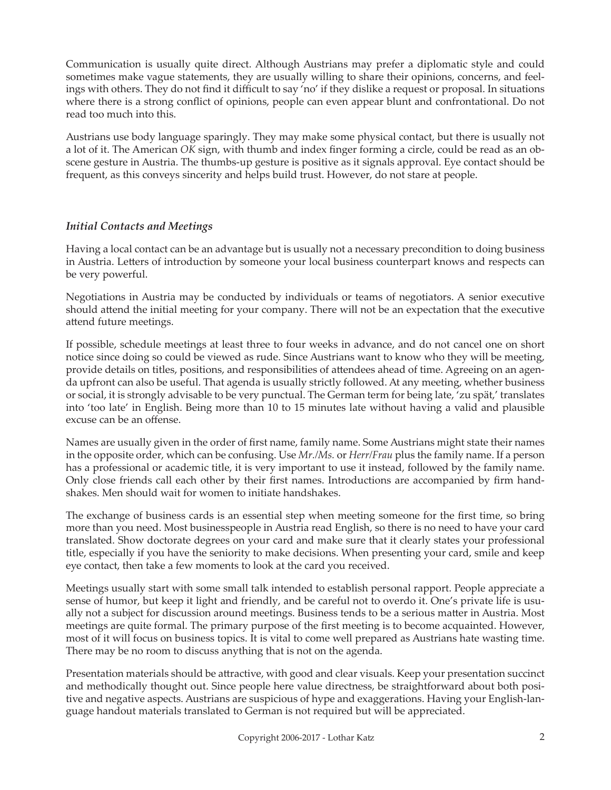Communication is usually quite direct. Although Austrians may prefer a diplomatic style and could sometimes make vague statements, they are usually willing to share their opinions, concerns, and feelings with others. They do not find it difficult to say 'no' if they dislike a request or proposal. In situations where there is a strong conflict of opinions, people can even appear blunt and confrontational. Do not read too much into this.

Austrians use body language sparingly. They may make some physical contact, but there is usually not a lot of it. The American *OK* sign, with thumb and index finger forming a circle, could be read as an obscene gesture in Austria. The thumbs-up gesture is positive as it signals approval. Eye contact should be frequent, as this conveys sincerity and helps build trust. However, do not stare at people.

## *Initial Contacts and Meetings*

Having a local contact can be an advantage but is usually not a necessary precondition to doing business in Austria. Letters of introduction by someone your local business counterpart knows and respects can be very powerful.

Negotiations in Austria may be conducted by individuals or teams of negotiators. A senior executive should attend the initial meeting for your company. There will not be an expectation that the executive attend future meetings.

If possible, schedule meetings at least three to four weeks in advance, and do not cancel one on short notice since doing so could be viewed as rude. Since Austrians want to know who they will be meeting, provide details on titles, positions, and responsibilities of attendees ahead of time. Agreeing on an agenda upfront can also be useful. That agenda is usually strictly followed. At any meeting, whether business or social, it is strongly advisable to be very punctual. The German term for being late, 'zu spät,' translates into 'too late' in English. Being more than 10 to 15 minutes late without having a valid and plausible excuse can be an offense.

Names are usually given in the order of first name, family name. Some Austrians might state their names in the opposite order, which can be confusing. Use *Mr./Ms.* or *Herr/Frau* plus the family name. If a person has a professional or academic title, it is very important to use it instead, followed by the family name. Only close friends call each other by their first names. Introductions are accompanied by firm handshakes. Men should wait for women to initiate handshakes.

The exchange of business cards is an essential step when meeting someone for the first time, so bring more than you need. Most businesspeople in Austria read English, so there is no need to have your card translated. Show doctorate degrees on your card and make sure that it clearly states your professional title, especially if you have the seniority to make decisions. When presenting your card, smile and keep eye contact, then take a few moments to look at the card you received.

Meetings usually start with some small talk intended to establish personal rapport. People appreciate a sense of humor, but keep it light and friendly, and be careful not to overdo it. One's private life is usually not a subject for discussion around meetings. Business tends to be a serious matter in Austria. Most meetings are quite formal. The primary purpose of the first meeting is to become acquainted. However, most of it will focus on business topics. It is vital to come well prepared as Austrians hate wasting time. There may be no room to discuss anything that is not on the agenda.

Presentation materials should be attractive, with good and clear visuals. Keep your presentation succinct and methodically thought out. Since people here value directness, be straightforward about both positive and negative aspects. Austrians are suspicious of hype and exaggerations. Having your English-language handout materials translated to German is not required but will be appreciated.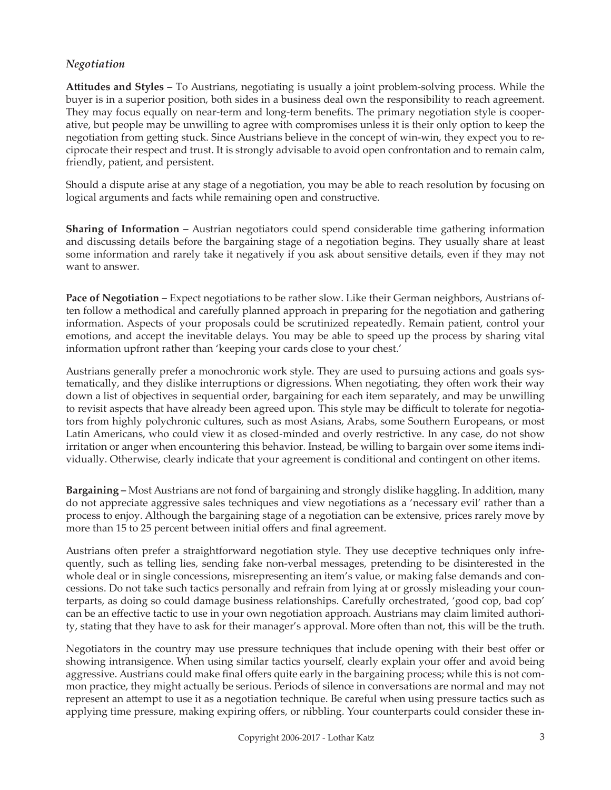## *Negotiation*

**Attitudes and Styles –** To Austrians, negotiating is usually a joint problem-solving process. While the buyer is in a superior position, both sides in a business deal own the responsibility to reach agreement. They may focus equally on near-term and long-term benefits. The primary negotiation style is cooperative, but people may be unwilling to agree with compromises unless it is their only option to keep the negotiation from getting stuck. Since Austrians believe in the concept of win-win, they expect you to reciprocate their respect and trust. It is strongly advisable to avoid open confrontation and to remain calm, friendly, patient, and persistent.

Should a dispute arise at any stage of a negotiation, you may be able to reach resolution by focusing on logical arguments and facts while remaining open and constructive.

**Sharing of Information –** Austrian negotiators could spend considerable time gathering information and discussing details before the bargaining stage of a negotiation begins. They usually share at least some information and rarely take it negatively if you ask about sensitive details, even if they may not want to answer.

**Pace of Negotiation –** Expect negotiations to be rather slow. Like their German neighbors, Austrians often follow a methodical and carefully planned approach in preparing for the negotiation and gathering information. Aspects of your proposals could be scrutinized repeatedly. Remain patient, control your emotions, and accept the inevitable delays. You may be able to speed up the process by sharing vital information upfront rather than 'keeping your cards close to your chest.'

Austrians generally prefer a monochronic work style. They are used to pursuing actions and goals systematically, and they dislike interruptions or digressions. When negotiating, they often work their way down a list of objectives in sequential order, bargaining for each item separately, and may be unwilling to revisit aspects that have already been agreed upon. This style may be difficult to tolerate for negotiators from highly polychronic cultures, such as most Asians, Arabs, some Southern Europeans, or most Latin Americans, who could view it as closed-minded and overly restrictive. In any case, do not show irritation or anger when encountering this behavior. Instead, be willing to bargain over some items individually. Otherwise, clearly indicate that your agreement is conditional and contingent on other items.

**Bargaining –** Most Austrians are not fond of bargaining and strongly dislike haggling. In addition, many do not appreciate aggressive sales techniques and view negotiations as a 'necessary evil' rather than a process to enjoy. Although the bargaining stage of a negotiation can be extensive, prices rarely move by more than 15 to 25 percent between initial offers and final agreement.

Austrians often prefer a straightforward negotiation style. They use deceptive techniques only infrequently, such as telling lies, sending fake non-verbal messages, pretending to be disinterested in the whole deal or in single concessions, misrepresenting an item's value, or making false demands and concessions. Do not take such tactics personally and refrain from lying at or grossly misleading your counterparts, as doing so could damage business relationships. Carefully orchestrated, 'good cop, bad cop' can be an effective tactic to use in your own negotiation approach. Austrians may claim limited authority, stating that they have to ask for their manager's approval. More often than not, this will be the truth.

Negotiators in the country may use pressure techniques that include opening with their best offer or showing intransigence. When using similar tactics yourself, clearly explain your offer and avoid being aggressive. Austrians could make final offers quite early in the bargaining process; while this is not common practice, they might actually be serious. Periods of silence in conversations are normal and may not represent an attempt to use it as a negotiation technique. Be careful when using pressure tactics such as applying time pressure, making expiring offers, or nibbling. Your counterparts could consider these in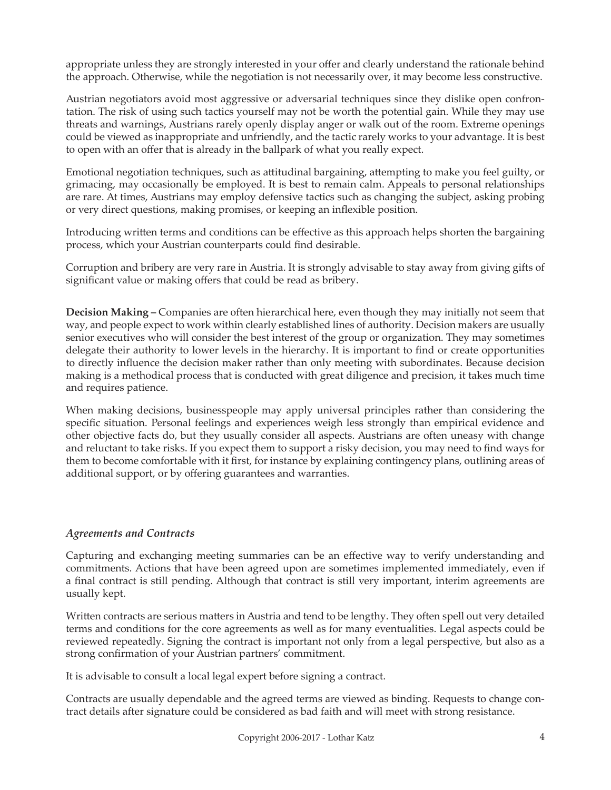appropriate unless they are strongly interested in your offer and clearly understand the rationale behind the approach. Otherwise, while the negotiation is not necessarily over, it may become less constructive.

Austrian negotiators avoid most aggressive or adversarial techniques since they dislike open confrontation. The risk of using such tactics yourself may not be worth the potential gain. While they may use threats and warnings, Austrians rarely openly display anger or walk out of the room. Extreme openings could be viewed as inappropriate and unfriendly, and the tactic rarely works to your advantage. It is best to open with an offer that is already in the ballpark of what you really expect.

Emotional negotiation techniques, such as attitudinal bargaining, attempting to make you feel guilty, or grimacing, may occasionally be employed. It is best to remain calm. Appeals to personal relationships are rare. At times, Austrians may employ defensive tactics such as changing the subject, asking probing or very direct questions, making promises, or keeping an inflexible position.

Introducing written terms and conditions can be effective as this approach helps shorten the bargaining process, which your Austrian counterparts could find desirable.

Corruption and bribery are very rare in Austria. It is strongly advisable to stay away from giving gifts of significant value or making offers that could be read as bribery.

**Decision Making –** Companies are often hierarchical here, even though they may initially not seem that way, and people expect to work within clearly established lines of authority. Decision makers are usually senior executives who will consider the best interest of the group or organization. They may sometimes delegate their authority to lower levels in the hierarchy. It is important to find or create opportunities to directly influence the decision maker rather than only meeting with subordinates. Because decision making is a methodical process that is conducted with great diligence and precision, it takes much time and requires patience.

When making decisions, businesspeople may apply universal principles rather than considering the specific situation. Personal feelings and experiences weigh less strongly than empirical evidence and other objective facts do, but they usually consider all aspects. Austrians are often uneasy with change and reluctant to take risks. If you expect them to support a risky decision, you may need to find ways for them to become comfortable with it first, for instance by explaining contingency plans, outlining areas of additional support, or by offering guarantees and warranties.

## *Agreements and Contracts*

Capturing and exchanging meeting summaries can be an effective way to verify understanding and commitments. Actions that have been agreed upon are sometimes implemented immediately, even if a final contract is still pending. Although that contract is still very important, interim agreements are usually kept.

Written contracts are serious matters in Austria and tend to be lengthy. They often spell out very detailed terms and conditions for the core agreements as well as for many eventualities. Legal aspects could be reviewed repeatedly. Signing the contract is important not only from a legal perspective, but also as a strong confirmation of your Austrian partners' commitment.

It is advisable to consult a local legal expert before signing a contract.

Contracts are usually dependable and the agreed terms are viewed as binding. Requests to change contract details after signature could be considered as bad faith and will meet with strong resistance.